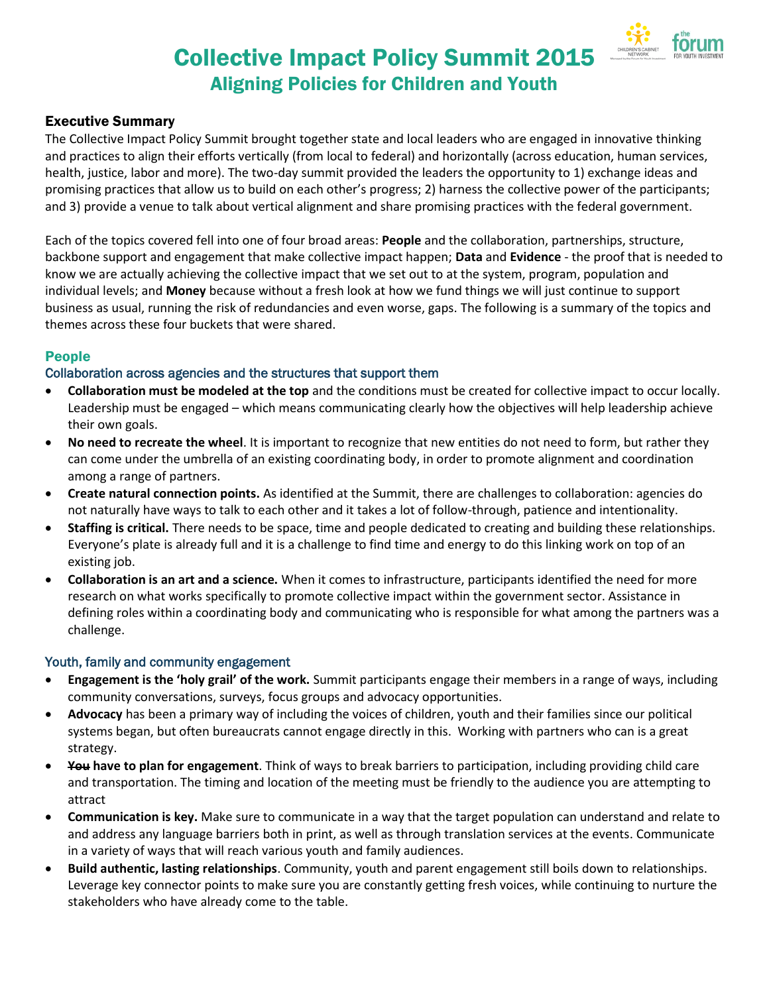

# Collective Impact Policy Summit 2015 Aligning Policies for Children and Youth

# Executive Summary

The Collective Impact Policy Summit brought together state and local leaders who are engaged in innovative thinking and practices to align their efforts vertically (from local to federal) and horizontally (across education, human services, health, justice, labor and more). The two-day summit provided the leaders the opportunity to 1) exchange ideas and promising practices that allow us to build on each other's progress; 2) harness the collective power of the participants; and 3) provide a venue to talk about vertical alignment and share promising practices with the federal government.

Each of the topics covered fell into one of four broad areas: **People** and the collaboration, partnerships, structure, backbone support and engagement that make collective impact happen; **Data** and **Evidence** - the proof that is needed to know we are actually achieving the collective impact that we set out to at the system, program, population and individual levels; and **Money** because without a fresh look at how we fund things we will just continue to support business as usual, running the risk of redundancies and even worse, gaps. The following is a summary of the topics and themes across these four buckets that were shared.

### People

#### Collaboration across agencies and the structures that support them

- **Collaboration must be modeled at the top** and the conditions must be created for collective impact to occur locally. Leadership must be engaged – which means communicating clearly how the objectives will help leadership achieve their own goals.
- **No need to recreate the wheel**. It is important to recognize that new entities do not need to form, but rather they can come under the umbrella of an existing coordinating body, in order to promote alignment and coordination among a range of partners.
- **Create natural connection points.** As identified at the Summit, there are challenges to collaboration: agencies do not naturally have ways to talk to each other and it takes a lot of follow-through, patience and intentionality.
- **Staffing is critical.** There needs to be space, time and people dedicated to creating and building these relationships. Everyone's plate is already full and it is a challenge to find time and energy to do this linking work on top of an existing job.
- **Collaboration is an art and a science.** When it comes to infrastructure, participants identified the need for more research on what works specifically to promote collective impact within the government sector. Assistance in defining roles within a coordinating body and communicating who is responsible for what among the partners was a challenge.

#### Youth, family and community engagement

- **Engagement is the 'holy grail' of the work.** Summit participants engage their members in a range of ways, including community conversations, surveys, focus groups and advocacy opportunities.
- **Advocacy** has been a primary way of including the voices of children, youth and their families since our political systems began, but often bureaucrats cannot engage directly in this. Working with partners who can is a great strategy.
- **You have to plan for engagement**. Think of ways to break barriers to participation, including providing child care and transportation. The timing and location of the meeting must be friendly to the audience you are attempting to attract
- **Communication is key.** Make sure to communicate in a way that the target population can understand and relate to and address any language barriers both in print, as well as through translation services at the events. Communicate in a variety of ways that will reach various youth and family audiences.
- **Build authentic, lasting relationships**. Community, youth and parent engagement still boils down to relationships. Leverage key connector points to make sure you are constantly getting fresh voices, while continuing to nurture the stakeholders who have already come to the table.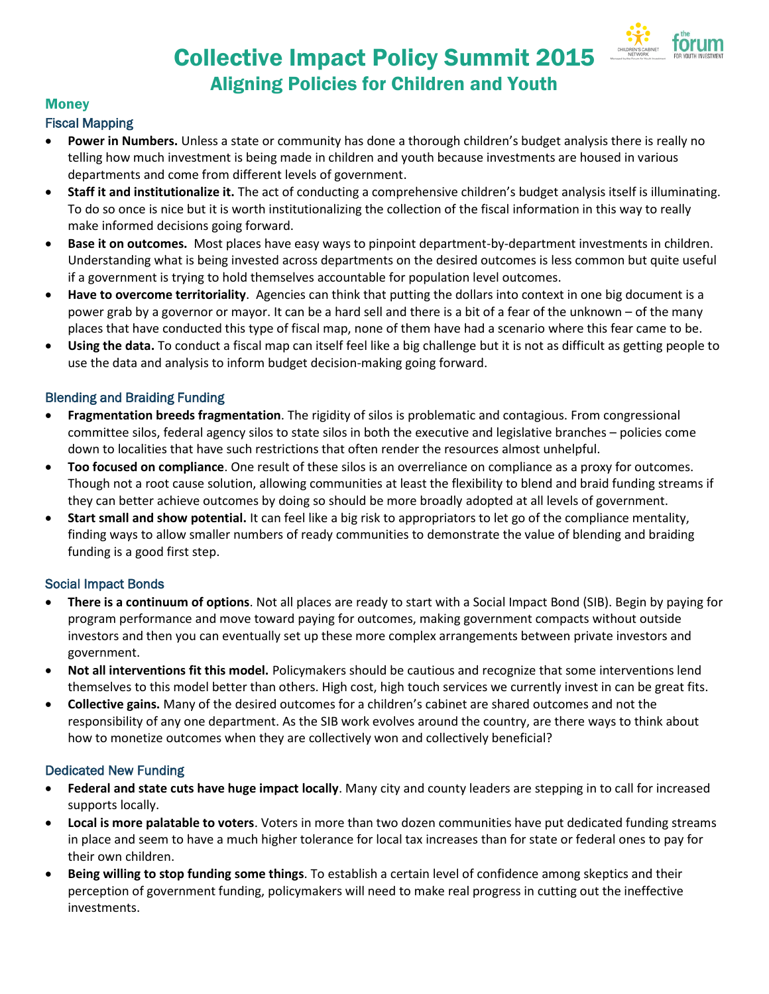

# Collective Impact Policy Summit 2015 Aligning Policies for Children and Youth

# **Money**

### Fiscal Mapping

- **Power in Numbers.** Unless a state or community has done a thorough children's budget analysis there is really no telling how much investment is being made in children and youth because investments are housed in various departments and come from different levels of government.
- **Staff it and institutionalize it.** The act of conducting a comprehensive children's budget analysis itself is illuminating. To do so once is nice but it is worth institutionalizing the collection of the fiscal information in this way to really make informed decisions going forward.
- **Base it on outcomes.** Most places have easy ways to pinpoint department-by-department investments in children. Understanding what is being invested across departments on the desired outcomes is less common but quite useful if a government is trying to hold themselves accountable for population level outcomes.
- **Have to overcome territoriality**. Agencies can think that putting the dollars into context in one big document is a power grab by a governor or mayor. It can be a hard sell and there is a bit of a fear of the unknown – of the many places that have conducted this type of fiscal map, none of them have had a scenario where this fear came to be.
- **Using the data.** To conduct a fiscal map can itself feel like a big challenge but it is not as difficult as getting people to use the data and analysis to inform budget decision-making going forward.

### Blending and Braiding Funding

- **Fragmentation breeds fragmentation**. The rigidity of silos is problematic and contagious. From congressional committee silos, federal agency silos to state silos in both the executive and legislative branches – policies come down to localities that have such restrictions that often render the resources almost unhelpful.
- **Too focused on compliance**. One result of these silos is an overreliance on compliance as a proxy for outcomes. Though not a root cause solution, allowing communities at least the flexibility to blend and braid funding streams if they can better achieve outcomes by doing so should be more broadly adopted at all levels of government.
- **Start small and show potential.** It can feel like a big risk to appropriators to let go of the compliance mentality, finding ways to allow smaller numbers of ready communities to demonstrate the value of blending and braiding funding is a good first step.

#### Social Impact Bonds

- **There is a continuum of options**. Not all places are ready to start with a Social Impact Bond (SIB). Begin by paying for program performance and move toward paying for outcomes, making government compacts without outside investors and then you can eventually set up these more complex arrangements between private investors and government.
- **Not all interventions fit this model.** Policymakers should be cautious and recognize that some interventions lend themselves to this model better than others. High cost, high touch services we currently invest in can be great fits.
- **Collective gains.** Many of the desired outcomes for a children's cabinet are shared outcomes and not the responsibility of any one department. As the SIB work evolves around the country, are there ways to think about how to monetize outcomes when they are collectively won and collectively beneficial?

#### Dedicated New Funding

- **Federal and state cuts have huge impact locally**. Many city and county leaders are stepping in to call for increased supports locally.
- **Local is more palatable to voters**. Voters in more than two dozen communities have put dedicated funding streams in place and seem to have a much higher tolerance for local tax increases than for state or federal ones to pay for their own children.
- **Being willing to stop funding some things**. To establish a certain level of confidence among skeptics and their perception of government funding, policymakers will need to make real progress in cutting out the ineffective investments.